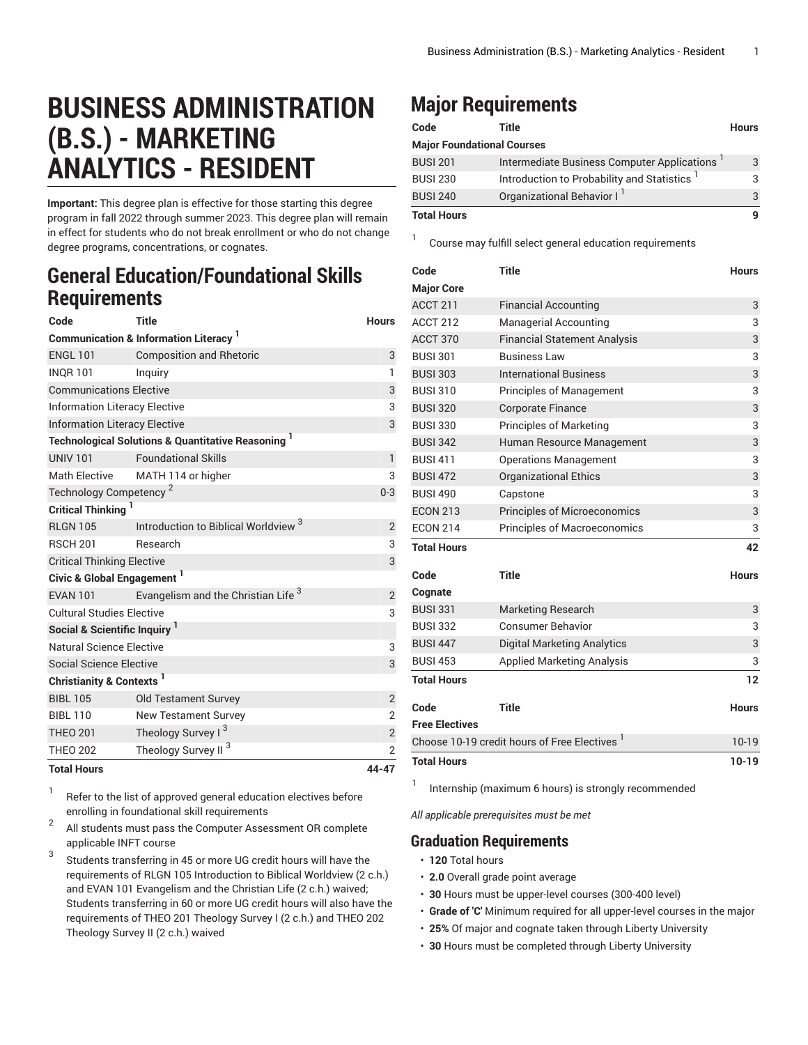## **BUSINESS ADMINISTRATION (B.S.) - MARKETING ANALYTICS - RESIDENT**

**Important:** This degree plan is effective for those starting this degree program in fall 2022 through summer 2023. This degree plan will remain in effect for students who do not break enrollment or who do not change degree programs, concentrations, or cognates.

## **General Education/Foundational Skills Requirements**

| Code                                                         | <b>Title</b>                                                  | <b>Hours</b>   |  |  |
|--------------------------------------------------------------|---------------------------------------------------------------|----------------|--|--|
| <b>Communication &amp; Information Literacy</b> <sup>1</sup> |                                                               |                |  |  |
| <b>ENGL 101</b>                                              | <b>Composition and Rhetoric</b>                               | 3              |  |  |
| <b>INQR101</b>                                               | Inguiry                                                       | $\mathbf{1}$   |  |  |
| <b>Communications Elective</b>                               | 3                                                             |                |  |  |
| <b>Information Literacy Elective</b>                         |                                                               |                |  |  |
| <b>Information Literacy Elective</b>                         |                                                               |                |  |  |
|                                                              | <b>Technological Solutions &amp; Quantitative Reasoning 1</b> |                |  |  |
| <b>UNIV 101</b>                                              | <b>Foundational Skills</b>                                    | $\mathsf{I}$   |  |  |
| <b>Math Elective</b>                                         | MATH 114 or higher                                            | 3              |  |  |
| Technology Competency <sup>2</sup>                           |                                                               |                |  |  |
| Critical Thinking <sup>1</sup>                               |                                                               |                |  |  |
| <b>RLGN 105</b>                                              | Introduction to Biblical Worldview <sup>3</sup>               | $\overline{2}$ |  |  |
| <b>RSCH 201</b>                                              | Research                                                      | 3              |  |  |
| <b>Critical Thinking Elective</b>                            |                                                               |                |  |  |
| Civic & Global Engagement <sup>1</sup>                       |                                                               |                |  |  |
| <b>FVAN 101</b>                                              | Evangelism and the Christian Life <sup>3</sup>                | $\overline{2}$ |  |  |
| <b>Cultural Studies Elective</b>                             |                                                               | 3              |  |  |
| Social & Scientific Inquiry                                  |                                                               |                |  |  |
| Natural Science Elective                                     |                                                               | 3              |  |  |
| Social Science Elective                                      |                                                               | 3              |  |  |
| <b>Christianity &amp; Contexts</b>                           |                                                               |                |  |  |
| <b>BIBL 105</b>                                              | <b>Old Testament Survey</b>                                   | $\overline{c}$ |  |  |
| <b>BIBL 110</b>                                              | <b>New Testament Survey</b>                                   | $\overline{2}$ |  |  |
| <b>THEO 201</b>                                              | Theology Survey I <sup>3</sup>                                | $\overline{c}$ |  |  |
| <b>THEO 202</b>                                              | Theology Survey II <sup>3</sup>                               | 2              |  |  |
| Total House<br><b>AA A7</b>                                  |                                                               |                |  |  |

**Total Hours 44-47**

1 Refer to the list of approved general [education](https://www.liberty.edu/gened/) electives before enrolling in foundational skill requirements

2 All students must pass the [Computer Assessment](https://www.liberty.edu/computerassessment/) OR complete applicable INFT course

3 Students transferring in 45 or more UG credit hours will have the requirements of RLGN 105 Introduction to Biblical Worldview (2 c.h.) and EVAN 101 Evangelism and the Christian Life (2 c.h.) waived; Students transferring in 60 or more UG credit hours will also have the requirements of THEO 201 Theology Survey I (2 c.h.) and THEO 202 Theology Survey II (2 c.h.) waived

## **Major Requirements**

1

| Code                              | Title                                       | <b>Hours</b> |  |
|-----------------------------------|---------------------------------------------|--------------|--|
| <b>Major Foundational Courses</b> |                                             |              |  |
| <b>BUSI 201</b>                   | Intermediate Business Computer Applications | 3            |  |
| <b>BUSI 230</b>                   | Introduction to Probability and Statistics  | 3            |  |
| <b>BUSI 240</b>                   | Organizational Behavior I <sup>1</sup>      | 3            |  |
| <b>Total Hours</b>                |                                             | q            |  |

Course may fulfill select general education requirements

| Code                                                     | <b>Title</b>                        | <b>Hours</b> |
|----------------------------------------------------------|-------------------------------------|--------------|
| <b>Major Core</b>                                        |                                     |              |
| ACCT 211                                                 | <b>Financial Accounting</b>         | 3            |
| <b>ACCT 212</b>                                          | <b>Managerial Accounting</b>        | 3            |
| <b>ACCT 370</b>                                          | <b>Financial Statement Analysis</b> | 3            |
| <b>BUSI 301</b>                                          | <b>Business Law</b>                 | 3            |
| <b>BUSI 303</b>                                          | <b>International Business</b>       | 3            |
| <b>BUSI 310</b>                                          | <b>Principles of Management</b>     | 3            |
| <b>BUSI 320</b>                                          | <b>Corporate Finance</b>            | 3            |
| <b>BUSI 330</b>                                          | <b>Principles of Marketing</b>      | 3            |
| <b>BUSI 342</b>                                          | Human Resource Management           | 3            |
| <b>BUSI 411</b>                                          | <b>Operations Management</b>        | 3            |
| <b>BUSI 472</b>                                          | <b>Organizational Ethics</b>        | 3            |
| <b>BUSI 490</b>                                          | Capstone                            | 3            |
| <b>ECON 213</b>                                          | <b>Principles of Microeconomics</b> | 3            |
| <b>ECON 214</b>                                          | Principles of Macroeconomics        | 3            |
| <b>Total Hours</b>                                       |                                     | 42           |
| Code                                                     | <b>Title</b>                        | <b>Hours</b> |
| Cognate                                                  |                                     |              |
| <b>BUSI 331</b>                                          | <b>Marketing Research</b>           | 3            |
| <b>BUSI 332</b>                                          | <b>Consumer Behavior</b>            | 3            |
| <b>BUSI 447</b>                                          | <b>Digital Marketing Analytics</b>  | 3            |
| <b>BUSI 453</b>                                          | <b>Applied Marketing Analysis</b>   | 3            |
| <b>Total Hours</b>                                       |                                     | 12           |
| Code                                                     | <b>Title</b>                        | <b>Hours</b> |
| <b>Free Electives</b>                                    |                                     |              |
| Choose 10-19 credit hours of Free Electives <sup>1</sup> |                                     |              |
| <b>Total Hours</b>                                       |                                     | $10-19$      |

Internship (maximum 6 hours) is strongly recommended

*All applicable prerequisites must be met*

## **Graduation Requirements**

• **120** Total hours

1

- **2.0** Overall grade point average
- **30** Hours must be upper-level courses (300-400 level)
- **Grade of 'C'** Minimum required for all upper-level courses in the major
- **25%** Of major and cognate taken through Liberty University
- **30** Hours must be completed through Liberty University